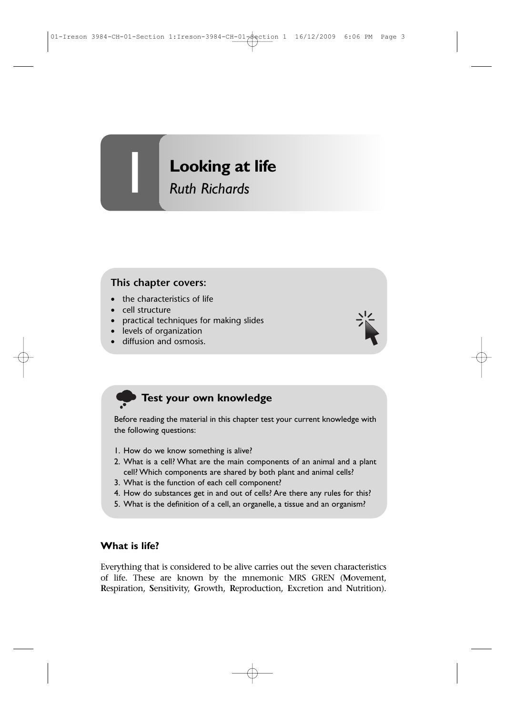# **Looking at life**

*Ruth Richards*

## **This chapter covers:**

- the characteristics of life
- cell structure

1

- practical techniques for making slides
- levels of organization
- diffusion and osmosis.

# **Test your own knowledge**

Before reading the material in this chapter test your current knowledge with the following questions:

- 1. How do we know something is alive?
- 2. What is a cell? What are the main components of an animal and a plant cell? Which components are shared by both plant and animal cells?
- 3. What is the function of each cell component?
- 4. How do substances get in and out of cells? Are there any rules for this?
- 5. What is the definition of a cell, an organelle, a tissue and an organism?

### **What is life?**

Everything that is considered to be alive carries out the seven characteristics of life. These are known by the mnemonic MRS GREN (**M**ovement, **R**espiration, **S**ensitivity, **G**rowth, **R**eproduction, **E**xcretion and **N**utrition).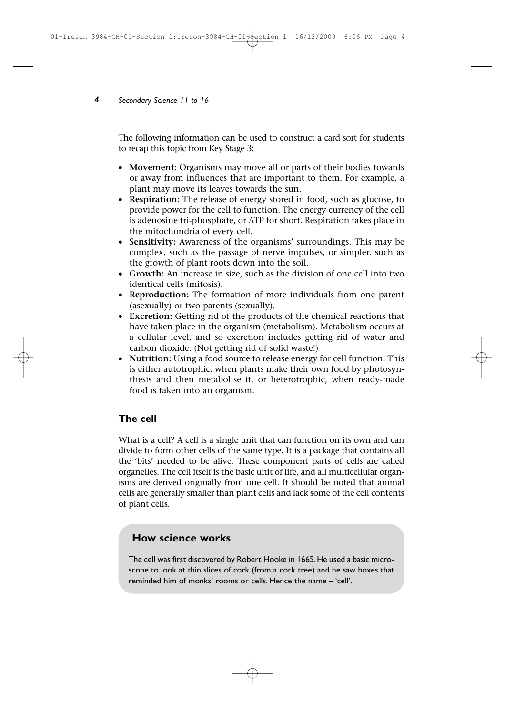The following information can be used to construct a card sort for students to recap this topic from Key Stage 3:

- **Movement:** Organisms may move all or parts of their bodies towards or away from influences that are important to them. For example, a plant may move its leaves towards the sun.
- **Respiration:** The release of energy stored in food, such as glucose, to provide power for the cell to function. The energy currency of the cell is adenosine tri-phosphate, or ATP for short. Respiration takes place in the mitochondria of every cell.
- **Sensitivity:** Awareness of the organisms' surroundings. This may be complex, such as the passage of nerve impulses, or simpler, such as the growth of plant roots down into the soil.
- **Growth:** An increase in size, such as the division of one cell into two identical cells (mitosis).
- **Reproduction:** The formation of more individuals from one parent (asexually) or two parents (sexually).
- **Excretion:** Getting rid of the products of the chemical reactions that have taken place in the organism (metabolism). Metabolism occurs at a cellular level, and so excretion includes getting rid of water and carbon dioxide. (Not getting rid of solid waste!)
- **Nutrition:** Using a food source to release energy for cell function. This is either autotrophic, when plants make their own food by photosynthesis and then metabolise it, or heterotrophic, when ready-made food is taken into an organism.

#### **The cell**

What is a cell? A cell is a single unit that can function on its own and can divide to form other cells of the same type. It is a package that contains all the 'bits' needed to be alive. These component parts of cells are called organelles. The cell itself is the basic unit of life, and all multicellular organisms are derived originally from one cell. It should be noted that animal cells are generally smaller than plant cells and lack some of the cell contents of plant cells.

## **How science works**

The cell was first discovered by Robert Hooke in 1665.He used a basic microscope to look at thin slices of cork (from a cork tree) and he saw boxes that reminded him of monks' rooms or cells. Hence the name – 'cell'.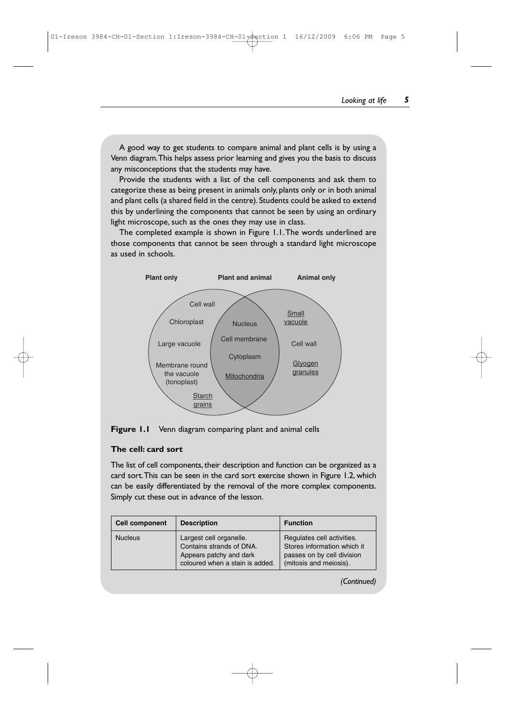A good way to get students to compare animal and plant cells is by using a Venn diagram.This helps assess prior learning and gives you the basis to discuss any misconceptions that the students may have.

01-Ireson 3984-CH-01-Section 1:Ireson-3984-CH-01<sub>7</sub>\$ ection 1 16/12/2009 6:06 PM Page 5

Provide the students with a list of the cell components and ask them to categorize these as being present in animals only, plants only or in both animal and plant cells (a shared field in the centre).Students could be asked to extend this by underlining the components that cannot be seen by using an ordinary light microscope, such as the ones they may use in class.

The completed example is shown in Figure 1.1.The words underlined are those components that cannot be seen through a standard light microscope as used in schools.





#### **The cell: card sort**

The list of cell components, their description and function can be organized as a card sort.This can be seen in the card sort exercise shown in Figure 1.2, which can be easily differentiated by the removal of the more complex components. Simply cut these out in advance of the lesson.

| <b>Cell component</b> | <b>Description</b>                                                                                                | <b>Function</b>                                                                                                   |
|-----------------------|-------------------------------------------------------------------------------------------------------------------|-------------------------------------------------------------------------------------------------------------------|
| <b>Nucleus</b>        | Largest cell organelle.<br>Contains strands of DNA.<br>Appears patchy and dark<br>coloured when a stain is added. | Regulates cell activities.<br>Stores information which it<br>passes on by cell division<br>(mitosis and meiosis). |

*(Continued)*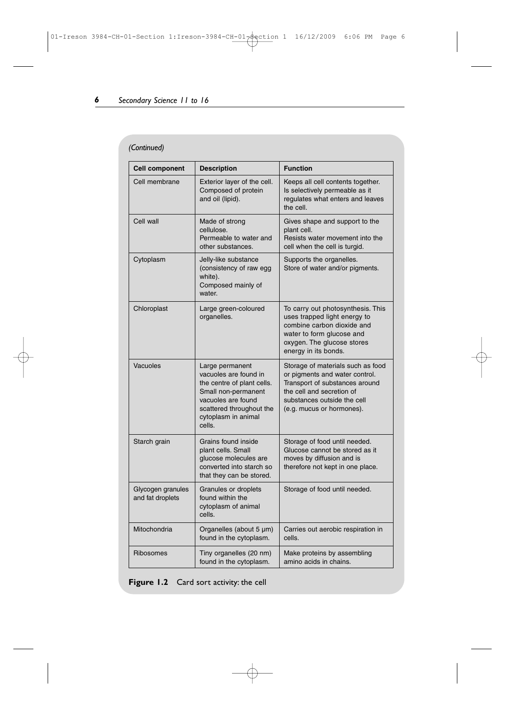## *(Continued)*

| <b>Cell component</b>                 | <b>Description</b>                                                                                                                                                               | <b>Function</b>                                                                                                                                                                                |  |  |
|---------------------------------------|----------------------------------------------------------------------------------------------------------------------------------------------------------------------------------|------------------------------------------------------------------------------------------------------------------------------------------------------------------------------------------------|--|--|
| Cell membrane                         | Exterior layer of the cell.<br>Composed of protein<br>and oil (lipid).                                                                                                           | Keeps all cell contents together.<br>Is selectively permeable as it<br>regulates what enters and leaves<br>the cell.                                                                           |  |  |
| Cell wall                             | Made of strong<br>cellulose.<br>Permeable to water and<br>other substances.                                                                                                      | Gives shape and support to the<br>plant cell.<br>Resists water movement into the<br>cell when the cell is turgid.                                                                              |  |  |
| Cytoplasm                             | Jelly-like substance<br>(consistency of raw egg<br>white).<br>Composed mainly of<br>water.                                                                                       | Supports the organelles.<br>Store of water and/or pigments.                                                                                                                                    |  |  |
| Chloroplast                           | Large green-coloured<br>organelles.                                                                                                                                              | To carry out photosynthesis. This<br>uses trapped light energy to<br>combine carbon dioxide and<br>water to form glucose and<br>oxygen. The glucose stores<br>energy in its bonds.             |  |  |
| Vacuoles                              | Large permanent<br>vacuoles are found in<br>the centre of plant cells.<br>Small non-permanent<br>vacuoles are found<br>scattered throughout the<br>cytoplasm in animal<br>cells. | Storage of materials such as food<br>or pigments and water control.<br>Transport of substances around<br>the cell and secretion of<br>substances outside the cell<br>(e.g. mucus or hormones). |  |  |
| Starch grain                          | Grains found inside<br>plant cells. Small<br>glucose molecules are<br>converted into starch so<br>that they can be stored.                                                       | Storage of food until needed.<br>Glucose cannot be stored as it<br>moves by diffusion and is<br>therefore not kept in one place.                                                               |  |  |
| Glycogen granules<br>and fat droplets | Granules or droplets<br>found within the<br>cytoplasm of animal<br>cells.                                                                                                        | Storage of food until needed.                                                                                                                                                                  |  |  |
| Mitochondria                          | Organelles (about 5 µm)<br>found in the cytoplasm.                                                                                                                               | Carries out aerobic respiration in<br>cells.                                                                                                                                                   |  |  |
| <b>Ribosomes</b>                      | Tiny organelles (20 nm)<br>found in the cytoplasm.                                                                                                                               | Make proteins by assembling<br>amino acids in chains.                                                                                                                                          |  |  |

**Figure 1.2** Card sort activity: the cell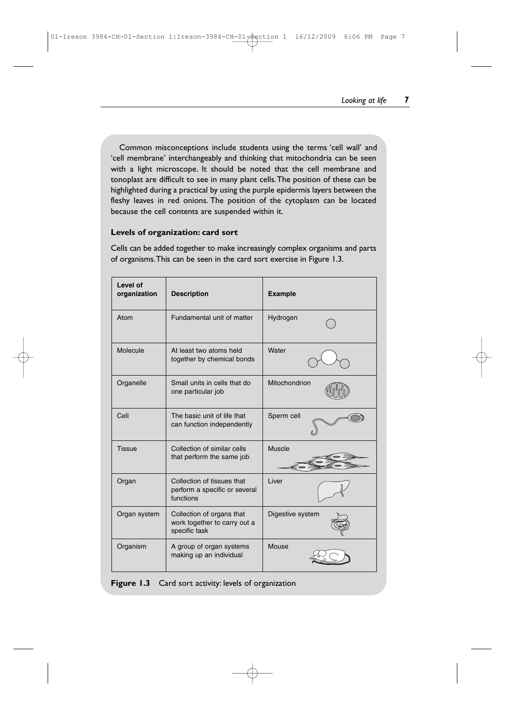Common misconceptions include students using the terms 'cell wall' and 'cell membrane' interchangeably and thinking that mitochondria can be seen with a light microscope. It should be noted that the cell membrane and tonoplast are difficult to see in many plant cells.The position of these can be highlighted during a practical by using the purple epidermis layers between the fleshy leaves in red onions. The position of the cytoplasm can be located because the cell contents are suspended within it.

01-Ireson 3984-CH-01-Section 1:Ireson-3984-CH-01-Section 1 16/12/2009 6:06 PM Page 7

#### **Levels of organization: card sort**

Cells can be added together to make increasingly complex organisms and parts of organisms.This can be seen in the card sort exercise in Figure 1.3.

| Level of<br>organization | <b>Description</b>                                                         | <b>Example</b>   |
|--------------------------|----------------------------------------------------------------------------|------------------|
| Atom                     | Fundamental unit of matter                                                 | Hydrogen         |
| Molecule                 | At least two atoms held<br>together by chemical bonds                      | Water            |
| Organelle                | Small units in cells that do<br>one particular job                         | Mitochondrion    |
| Cell                     | The basic unit of life that<br>can function independently                  | Sperm cell       |
| <b>Tissue</b>            | Collection of similar cells<br>that perform the same job                   | Muscle           |
| Organ                    | Collection of tissues that<br>perform a specific or several<br>functions   | Liver            |
| Organ system             | Collection of organs that<br>work together to carry out a<br>specific task | Digestive system |
| Organism                 | A group of organ systems<br>making up an individual                        | Mouse            |

|  |  |  |  |  | Figure 1.3 Card sort activity: levels of organization |
|--|--|--|--|--|-------------------------------------------------------|
|--|--|--|--|--|-------------------------------------------------------|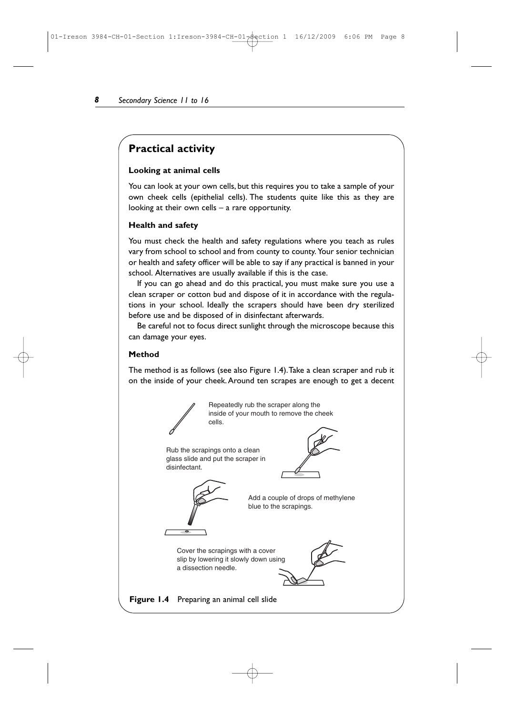## **Practical activity**

#### **Looking at animal cells**

You can look at your own cells, but this requires you to take a sample of your own cheek cells (epithelial cells). The students quite like this as they are looking at their own cells – a rare opportunity.

#### **Health and safety**

You must check the health and safety regulations where you teach as rules vary from school to school and from county to county. Your senior technician or health and safety officer will be able to say if any practical is banned in your school. Alternatives are usually available if this is the case.

If you can go ahead and do this practical, you must make sure you use a clean scraper or cotton bud and dispose of it in accordance with the regulations in your school. Ideally the scrapers should have been dry sterilized before use and be disposed of in disinfectant afterwards.

Be careful not to focus direct sunlight through the microscope because this can damage your eyes.

#### **Method**

The method is as follows (see also Figure 1.4).Take a clean scraper and rub it on the inside of your cheek.Around ten scrapes are enough to get a decent

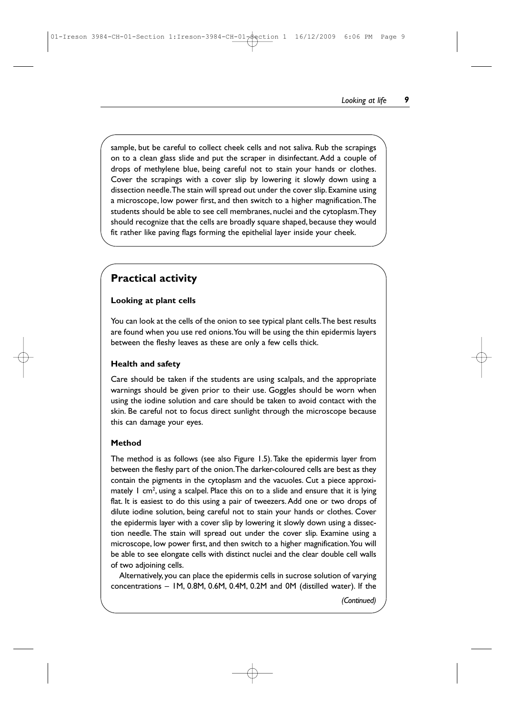sample, but be careful to collect cheek cells and not saliva. Rub the scrapings on to a clean glass slide and put the scraper in disinfectant. Add a couple of drops of methylene blue, being careful not to stain your hands or clothes. Cover the scrapings with a cover slip by lowering it slowly down using a dissection needle.The stain will spread out under the cover slip. Examine using a microscope, low power first, and then switch to a higher magnification.The students should be able to see cell membranes, nuclei and the cytoplasm.They should recognize that the cells are broadly square shaped, because they would fit rather like paving flags forming the epithelial layer inside your cheek.

01-Ireson 3984-CH-01-Section 1: Ireson-3984-CH-01<sub>7</sub> section 1 16/12/2009 6:06 PM Page 9

# **Practical activity**

#### **Looking at plant cells**

You can look at the cells of the onion to see typical plant cells.The best results are found when you use red onions.You will be using the thin epidermis layers between the fleshy leaves as these are only a few cells thick.

#### **Health and safety**

Care should be taken if the students are using scalpals, and the appropriate warnings should be given prior to their use. Goggles should be worn when using the iodine solution and care should be taken to avoid contact with the skin. Be careful not to focus direct sunlight through the microscope because this can damage your eyes.

#### **Method**

The method is as follows (see also Figure 1.5).Take the epidermis layer from between the fleshy part of the onion.The darker-coloured cells are best as they contain the pigments in the cytoplasm and the vacuoles. Cut a piece approximately 1 cm<sup>2</sup>, using a scalpel. Place this on to a slide and ensure that it is lying flat. It is easiest to do this using a pair of tweezers. Add one or two drops of dilute iodine solution, being careful not to stain your hands or clothes. Cover the epidermis layer with a cover slip by lowering it slowly down using a dissection needle. The stain will spread out under the cover slip. Examine using a microscope, low power first, and then switch to a higher magnification.You will be able to see elongate cells with distinct nuclei and the clear double cell walls of two adjoining cells.

Alternatively, you can place the epidermis cells in sucrose solution of varying concentrations – 1M, 0.8M, 0.6M, 0.4M, 0.2M and 0M (distilled water). If the

*(Continued)*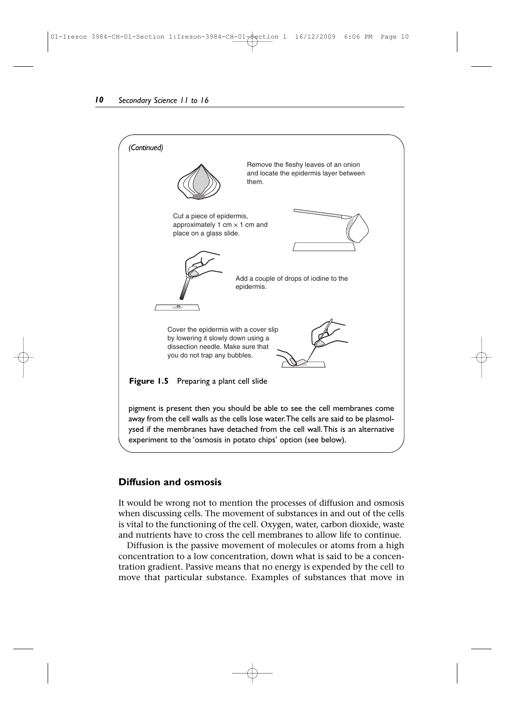

## **Diffusion and osmosis**

It would be wrong not to mention the processes of diffusion and osmosis when discussing cells. The movement of substances in and out of the cells is vital to the functioning of the cell. Oxygen, water, carbon dioxide, waste and nutrients have to cross the cell membranes to allow life to continue.

Diffusion is the passive movement of molecules or atoms from a high concentration to a low concentration, down what is said to be a concentration gradient. Passive means that no energy is expended by the cell to move that particular substance. Examples of substances that move in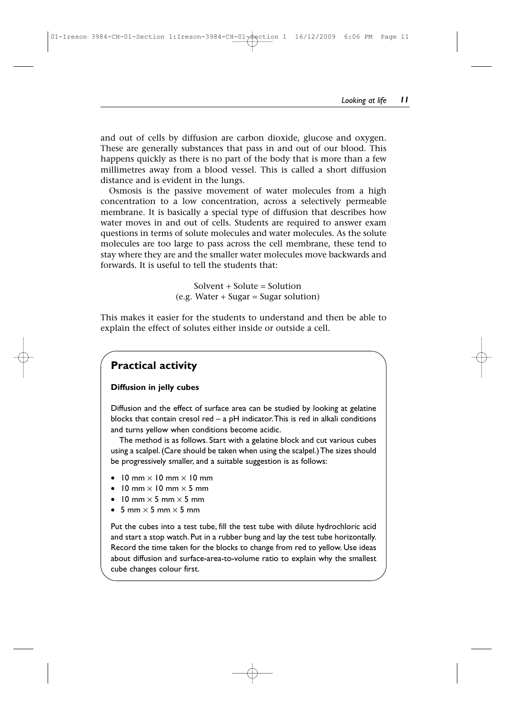and out of cells by diffusion are carbon dioxide, glucose and oxygen. These are generally substances that pass in and out of our blood. This happens quickly as there is no part of the body that is more than a few millimetres away from a blood vessel. This is called a short diffusion distance and is evident in the lungs.

01-Ireson 3984-CH-01-Section 1:Ireson-3984-CH-01-Section 1 16/12/2009 6:06 PM Page 11

Osmosis is the passive movement of water molecules from a high concentration to a low concentration, across a selectively permeable membrane. It is basically a special type of diffusion that describes how water moves in and out of cells. Students are required to answer exam questions in terms of solute molecules and water molecules. As the solute molecules are too large to pass across the cell membrane, these tend to stay where they are and the smaller water molecules move backwards and forwards. It is useful to tell the students that:

> Solvent + Solute = Solution  $(e.g. Water + Sugar = Sugar solution)$

This makes it easier for the students to understand and then be able to explain the effect of solutes either inside or outside a cell.

## **Practical activity**

#### **Diffusion in jelly cubes**

Diffusion and the effect of surface area can be studied by looking at gelatine blocks that contain cresol red  $-$  a pH indicator. This is red in alkali conditions and turns yellow when conditions become acidic.

The method is as follows. Start with a gelatine block and cut various cubes using a scalpel. (Care should be taken when using the scalpel.)The sizes should be progressively smaller, and a suitable suggestion is as follows:

- $10$  mm  $\times$  10 mm  $\times$  10 mm
- $10 \text{ mm} \times 10 \text{ mm} \times 5 \text{ mm}$
- 10 mm  $\times$  5 mm  $\times$  5 mm
- 5 mm  $\times$  5 mm  $\times$  5 mm

Put the cubes into a test tube, fill the test tube with dilute hydrochloric acid and start a stop watch. Put in a rubber bung and lay the test tube horizontally. Record the time taken for the blocks to change from red to yellow. Use ideas about diffusion and surface-area-to-volume ratio to explain why the smallest cube changes colour first.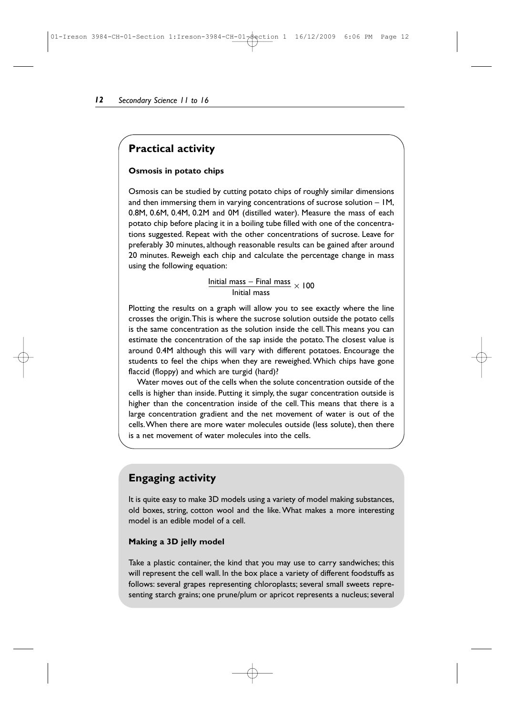## **Practical activity**

#### **Osmosis in potato chips**

Osmosis can be studied by cutting potato chips of roughly similar dimensions and then immersing them in varying concentrations of sucrose solution – 1M, 0.8M, 0.6M, 0.4M, 0.2M and 0M (distilled water). Measure the mass of each potato chip before placing it in a boiling tube filled with one of the concentrations suggested. Repeat with the other concentrations of sucrose. Leave for preferably 30 minutes, although reasonable results can be gained after around 20 minutes. Reweigh each chip and calculate the percentage change in mass using the following equation:

> Initial mass – Final mass  $\times 100$ Initial mass

Plotting the results on a graph will allow you to see exactly where the line crosses the origin.This is where the sucrose solution outside the potato cells is the same concentration as the solution inside the cell.This means you can estimate the concentration of the sap inside the potato.The closest value is around 0.4M although this will vary with different potatoes. Encourage the students to feel the chips when they are reweighed. Which chips have gone flaccid (floppy) and which are turgid (hard)?

Water moves out of the cells when the solute concentration outside of the cells is higher than inside. Putting it simply, the sugar concentration outside is higher than the concentration inside of the cell. This means that there is a large concentration gradient and the net movement of water is out of the cells.When there are more water molecules outside (less solute), then there is a net movement of water molecules into the cells.

## **Engaging activity**

It is quite easy to make 3D models using a variety of model making substances, old boxes, string, cotton wool and the like. What makes a more interesting model is an edible model of a cell.

#### **Making a 3D jelly model**

Take a plastic container, the kind that you may use to carry sandwiches; this will represent the cell wall. In the box place a variety of different foodstuffs as follows: several grapes representing chloroplasts; several small sweets representing starch grains; one prune/plum or apricot represents a nucleus; several